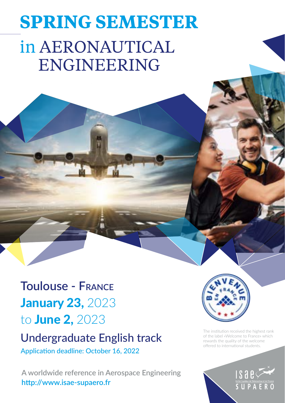# **SPRING SEMESTER** in AERONAUTICAL ENGINEERING

**Toulouse - France January 23, 2023** to June 2, 2023

## Undergraduate English track

Application deadline: October 16, 2022

**A worldwide reference in Aerospace Engineering <http://www.isae-supaero.fr>**



The institution received the highest rank of the label «Welcome to France» which rewards the quality of the welcome offered to international students.